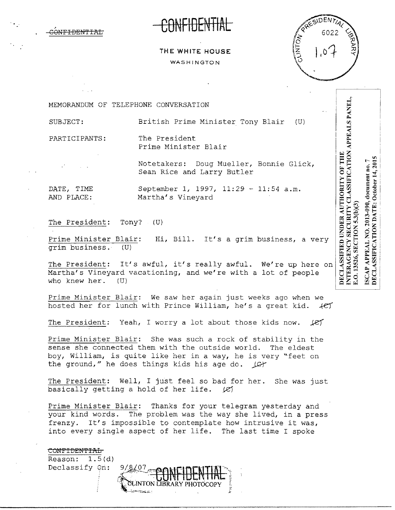



## **THE WHITE HOUSE**  WASHINGTON

MEMORANDUM OF TELEPHONE CONVERSATION

SUBJECT: British Prime Minister Tony Blair (U)

PARTICIPANTS: The President

Prime Minister Blair

Notetakers: Doug Mueller, Bonnie Glick, Sean Rice and Larry Butler

DATE, TIME September 1, 1997, 11:29 - 11:54 a.m. AND PLACE: Martha's Vineyard

The President: Tony? (U)

Prime Minister Blair: Hi, Bill. It's a grim business, a very grim business. (U)

The President: It's awful, it's really awful. We're up here on Martha's Vineyard vacationing, and we're with a lot of people who knew her. (U)

Prime Minister Blair: We saw her again just weeks ago when we hosted her for lunch with Prince William, he's a great kid.  $+CT$ 

The President: Yeah, I worry a lot about those kids now.  $\mathcal{L}$ 

Prime Minister Blair: She was such a rock of stability in the sense she connected them with the outside world. The eldest boy, William, is quite like her in a way, he is very "feet on the ground," he does things kids his age do. *jQ-1'* 

The President: Well, I just feel so bad for her. She was just basically getting a hold of her life.  $\mathcal{L}$ basically getting a hold of her life.

Prime Minister Blair: Thanks for your telegram yesterday and your kind words. The problem was the way she lived, in a press frenzy. It's impossible to contemplate how intrusive it was, into every single aspect of her life. The last time I spoke



DECLASSIFICATION DATE: October 14, 2015 SCAP APPEAL NO. 2013-090, document no. 7 E.O. 13526, SECTION 5.3(b)(3)

INTERAGENCY SECURITY CLASSIFICATION APPEALS PANEL,

**DECLASSIFIED UNDER AUTHORITY OF THE**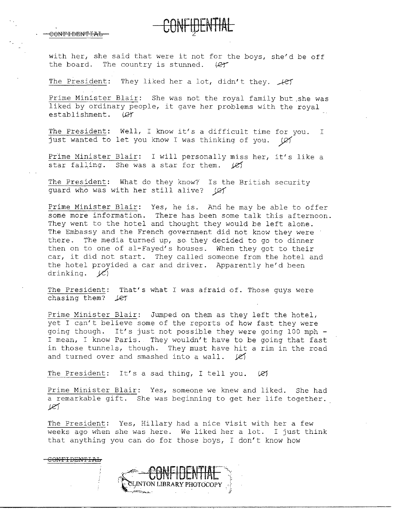**CONFIDENTIAL** 

with her, she said that were it not for the boys, she'd be off the board. The country is stunned.  $(2f$ 

The President: They liked her a lot, didn't they.  $\mathcal{H}$ 

Prime Minister Blair: She was not the royal family but .she was liked by ordinary people, it gave her problems with the royal establishment. (CY

The President: Well, I know it's a difficult time for you. I just wanted to let you know I was thinking of you.  $\varnothing$ 

Prime Minister Blair: I will personally miss her, it's like a star falling. She was a star for them.  $\cancel{e}$ 

The President: What do they know? Is the British security guard who was with her still alive? (CY

Prime Minister Blair: Yes, he is. And he may be able to offer some more information. There has been some talk this afternoon. They went to the hotel and thought they would be left alone. The Embassy and the French government did not know they were there. The media turned up, so they decided to go to dinner then on to one of al-Fayed's houses. When they got to their car, it did not start. They called someone from the hotel and the hotel provided a car and driver. Apparently he'd been drinking. *ye)* 

The President: That's what I was afraid of. Those guys were chasing them?  $\text{Let}$ 

Prime Minister Blair: Jumped on them as they left the hotel, yet I can't believe some of the reports of how fast they were going though. It's just not possible they were going 100 mph I mean, I know Paris. They wouldn't have to be going that fast in those tunnels, though. They must have hit a rim in the road and turned over and smashed into a wall.  $\mathscr{L}$ 

The President: It's a sad thing, I tell you.  $(2)$ 

Prime Minister Blair: Yes, someone we knew and liked. She had a remarkable gift. She was beginning to get her life together. *j..e)* 

The President: Yes, Hillary had a nice visit with her a few weeks ago when she was here. We liked her a lot. I just think that anything you can do for those boys, I don't know how



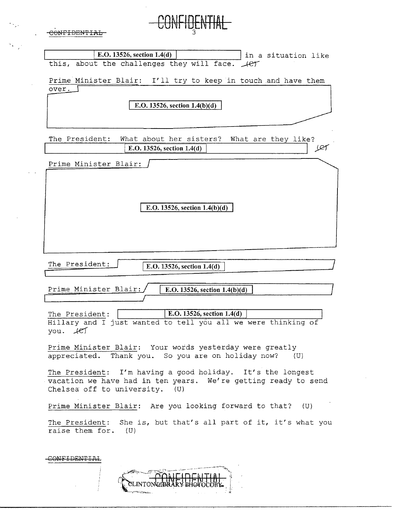| <del>ONE DENTE</del>                                                                                          |
|---------------------------------------------------------------------------------------------------------------|
|                                                                                                               |
| E.O. 13526, section 1.4(d)<br>in a situation like<br>this, about the challenges they will face.<br>$+er$      |
|                                                                                                               |
| Prime Minister Blair: I'll try to keep in touch and have them<br>over.                                        |
| E.O. 13526, section $1.4(b)(d)$                                                                               |
|                                                                                                               |
|                                                                                                               |
| The President:<br>What about her sisters?<br>What are they like?<br>E.O. 13526, section 1.4(d)                |
|                                                                                                               |
| Prime Minister Blair:                                                                                         |
|                                                                                                               |
|                                                                                                               |
| E.O. 13526, section $1.4(b)(d)$                                                                               |
|                                                                                                               |
|                                                                                                               |
|                                                                                                               |
| The President:<br>E.O. 13526, section 1.4(d)                                                                  |
|                                                                                                               |
| Prime Minister Blair:<br>E.O. 13526, section $1.4(b)(d)$                                                      |
|                                                                                                               |
| E.O. 13526, section 1.4(d)<br>The President:<br>Hillary and I just wanted to tell you all we were thinking of |
| $you.$ $#5$                                                                                                   |
| Prime Minister Blair: Your words yesterday were greatly                                                       |
| appreciated. Thank you. So you are on holiday now? (U)                                                        |
| The President: I'm having a good holiday. It's the longest                                                    |
| vacation we have had in ten years. We're getting ready to send<br>Chelsea off to university. (U)              |
|                                                                                                               |
|                                                                                                               |
| Prime Minister Blair: Are you looking forward to that? (U)                                                    |
| The President: She is, but that's all part of it, it's what you<br>raise them for. (U)                        |
|                                                                                                               |

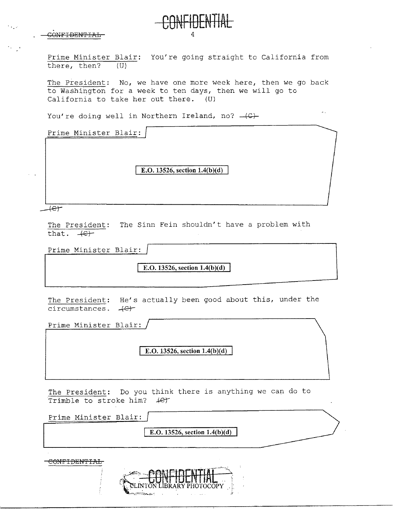

Prime Minister Blair: You're going straight to California from there, then? (U)

**CONFIDENTIAL** 

The President: No, we have one more week here, then we go back to Washington for a week to ten days, then we will go to California to take her out there. (U)

 $\mathbb{Z}^2$  .

You're doing well in Northern Ireland, no?  $-(C)$ -

Prime Minister Blair:

**E.O. 13526, section 1.4(b)(d)** 

 $f$  $f$ 

The President: The Sinn Fein shouldn't have a problem with that.  $+e$ +

Prime Minister Blair:

**E.O. 13526, section 1.4(b)(d)** 

The President: He's actually been good about this, under the circumstances.  $+e$ 

Prime Minister Blair:

**E.O. 13526, section 1.4(b)(d)** 

The President: Do you think there is anything we can do to Trimble to stroke him?  $4e^+$ 

| Prime Minister Blair: |                                                                           |  |
|-----------------------|---------------------------------------------------------------------------|--|
|                       | E.O. 13526, section $1.4(b)(d)$                                           |  |
|                       |                                                                           |  |
| CONTROLIDINT T        |                                                                           |  |
|                       |                                                                           |  |
|                       | LIBRARY PHOTOCOPY<br>المتعاطف المستنقش<br>the contract of the contract of |  |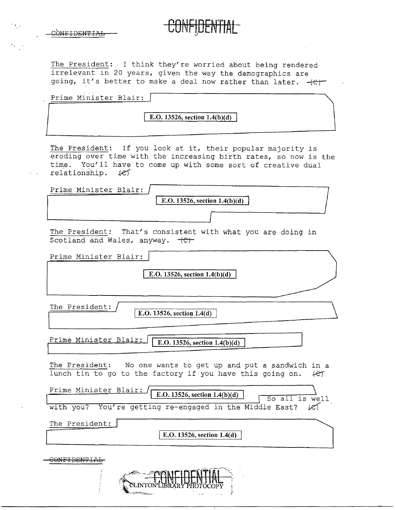| CONFIDENTIAI                         |  |  |
|--------------------------------------|--|--|
| to chine in the series of the series |  |  |

The President: I think they're worried about being rendered irrelevant in 20 years, given the way the demographics are going, it's better to make a deal now rather than later.  $+e$ 

**CONFIDENTIAL** 

| Prime Minister Blair: |  |
|-----------------------|--|
|                       |  |
|                       |  |
|                       |  |

**E.O. 13526, section 1.4(b)(d)** 

The President: If you look at it, their popular majority is eroding over time with the increasing birth rates, so now is the time. You'll have to come up with some sort of creative dual relationship. *kef* 

| Prime Minister Blair:                                                                                                             |
|-----------------------------------------------------------------------------------------------------------------------------------|
| E.O. 13526, section $1.4(b)(d)$                                                                                                   |
|                                                                                                                                   |
| The President: That's consistent with what you are doing in<br>Scotland and Wales, anyway. (C)                                    |
| Prime Minister Blair:                                                                                                             |
| E.O. 13526, section $1.4(b)(d)$                                                                                                   |
|                                                                                                                                   |
| The President:<br>E.O. 13526, section 1.4(d)                                                                                      |
|                                                                                                                                   |
| <u>Prime Minister Blair:</u><br>E.O. 13526, section $1.4(b)(d)$                                                                   |
| The President: No one wants to get up and put a sandwich in a<br>lunch tin to go to the factory if you have this going on.<br>fer |
| Prime Minister Blair:<br>E.O. 13526, section $1.4(b)(d)$<br>So all is well                                                        |
| with you? You're getting re-engaged in the Middle East? (e)                                                                       |
| The President:                                                                                                                    |
| E.O. 13526, section 1.4(d)                                                                                                        |
| <del>SONEIDENTI</del> A                                                                                                           |
|                                                                                                                                   |

CLINTON LIBRARY PHOTOCOPY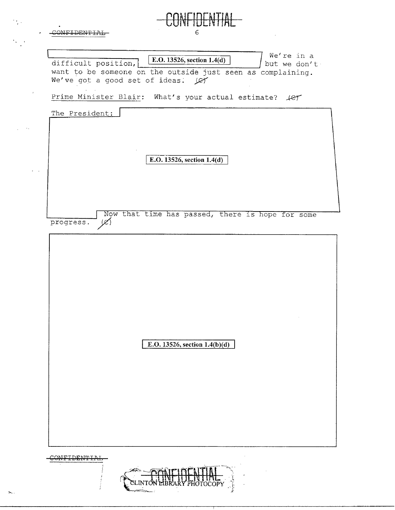| :ONFTDENTTA         | 6                                                                                                                                                             |
|---------------------|---------------------------------------------------------------------------------------------------------------------------------------------------------------|
| difficult position, | We're in a<br>E.O. 13526, section 1.4(d)<br>but we don't<br>want to be someone on the outside just seen as complaining.<br>We've got a good set of ideas. Let |
|                     | Prime Minister Blair: What's your actual estimate? $\text{4er}$                                                                                               |
| The President:      |                                                                                                                                                               |
|                     |                                                                                                                                                               |
|                     |                                                                                                                                                               |
|                     | E.O. 13526, section 1.4(d)                                                                                                                                    |
|                     |                                                                                                                                                               |
|                     |                                                                                                                                                               |
| progress.           | Now that time has passed, there is hope for some<br>$(\mathscr{C})$                                                                                           |
|                     |                                                                                                                                                               |
|                     |                                                                                                                                                               |
|                     |                                                                                                                                                               |
|                     |                                                                                                                                                               |
|                     |                                                                                                                                                               |
|                     |                                                                                                                                                               |
|                     | E.O. 13526, section $1.4(b)(d)$                                                                                                                               |
|                     |                                                                                                                                                               |
|                     |                                                                                                                                                               |
|                     |                                                                                                                                                               |
|                     |                                                                                                                                                               |
|                     |                                                                                                                                                               |
|                     |                                                                                                                                                               |



 $\frac{1}{2}$  .